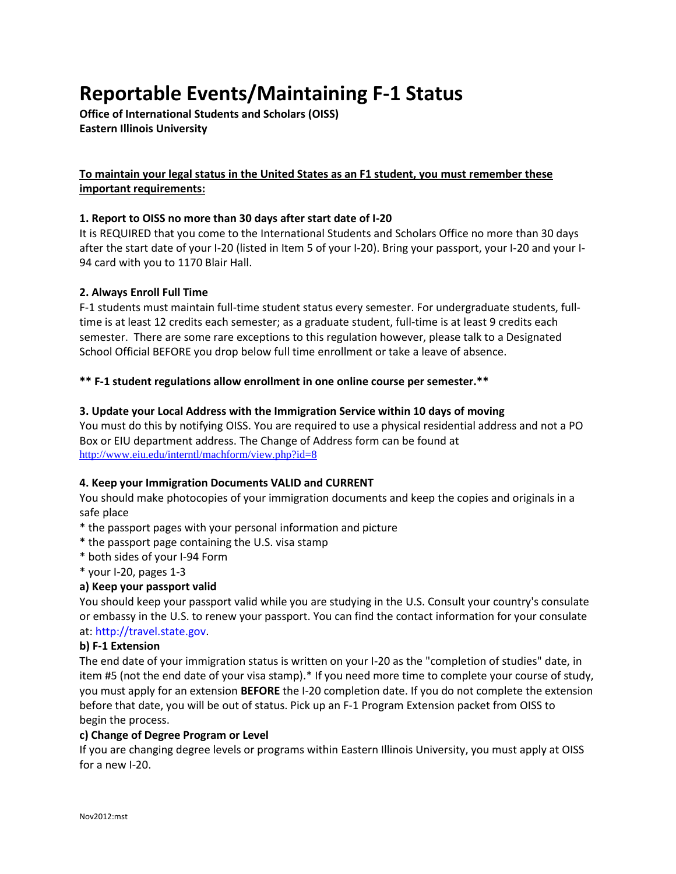# **Reportable Events/Maintaining F-1 Status**

**Office of International Students and Scholars (OISS) Eastern Illinois University**

# **To maintain your legal status in the United States as an F1 student, you must remember these important requirements:**

## **1. Report to OISS no more than 30 days after start date of I-20**

It is REQUIRED that you come to the International Students and Scholars Office no more than 30 days after the start date of your I-20 (listed in Item 5 of your I-20). Bring your passport, your I-20 and your I-94 card with you to 1170 Blair Hall.

## **2. Always Enroll Full Time**

F-1 students must maintain full-time student status every semester. For undergraduate students, fulltime is at least 12 credits each semester; as a graduate student, full-time is at least 9 credits each semester. There are some rare exceptions to this regulation however, please talk to a Designated School Official BEFORE you drop below full time enrollment or take a leave of absence.

## **\*\* F-1 student regulations allow enrollment in one online course per semester.\*\***

## **3. Update your Local Address with the Immigration Service within 10 days of moving**

You must do this by notifying OISS. You are required to use a physical residential address and not a PO Box or EIU department address. The Change of Address form can be found at <http://www.eiu.edu/interntl/machform/view.php?id=8>

## **4. Keep your Immigration Documents VALID and CURRENT**

You should make photocopies of your immigration documents and keep the copies and originals in a safe place

- \* the passport pages with your personal information and picture
- \* the passport page containing the U.S. visa stamp
- \* both sides of your I-94 Form
- \* your I-20, pages 1-3

# **a) Keep your passport valid**

You should keep your passport valid while you are studying in the U.S. Consult your country's consulate or embassy in the U.S. to renew your passport. You can find the contact information for your consulate at: http://travel.state.gov.

## **b) F-1 Extension**

The end date of your immigration status is written on your I-20 as the "completion of studies" date, in item #5 (not the end date of your visa stamp).\* If you need more time to complete your course of study, you must apply for an extension **BEFORE** the I-20 completion date. If you do not complete the extension before that date, you will be out of status. Pick up an F-1 Program Extension packet from OISS to begin the process.

## **c) Change of Degree Program or Level**

If you are changing degree levels or programs within Eastern Illinois University, you must apply at OISS for a new I-20.